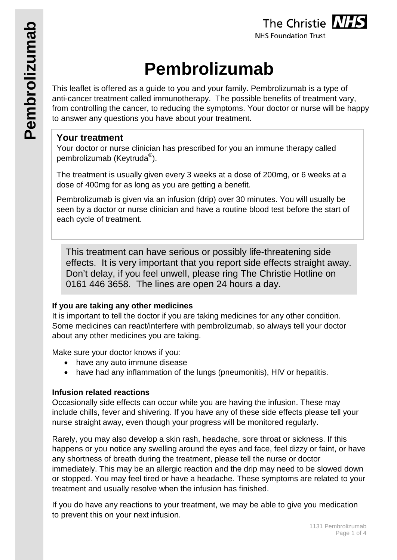# **Pembrolizumab**

This leaflet is offered as a guide to you and your family. Pembrolizumab is a type of anti-cancer treatment called immunotherapy. The possible benefits of treatment vary, from controlling the cancer, to reducing the symptoms. Your doctor or nurse will be happy to answer any questions you have about your treatment.

# **Your treatment**

Your doctor or nurse clinician has prescribed for you an immune therapy called pembrolizumab (Keytruda<sup>®</sup>).

The treatment is usually given every 3 weeks at a dose of 200mg, or 6 weeks at a dose of 400mg for as long as you are getting a benefit.

Pembrolizumab is given via an infusion (drip) over 30 minutes. You will usually be seen by a doctor or nurse clinician and have a routine blood test before the start of each cycle of treatment.

This treatment can have serious or possibly life-threatening side effects. It is very important that you report side effects straight away. Don't delay, if you feel unwell, please ring The Christie Hotline on 0161 446 3658. The lines are open 24 hours a day.

# **If you are taking any other medicines**

It is important to tell the doctor if you are taking medicines for any other condition. Some medicines can react/interfere with pembrolizumab, so always tell your doctor about any other medicines you are taking.

Make sure your doctor knows if you:

- have any auto immune disease
- have had any inflammation of the lungs (pneumonitis), HIV or hepatitis.

# **Infusion related reactions**

Occasionally side effects can occur while you are having the infusion. These may include chills, fever and shivering. If you have any of these side effects please tell your nurse straight away, even though your progress will be monitored regularly.

Rarely, you may also develop a skin rash, headache, sore throat or sickness. If this happens or you notice any swelling around the eyes and face, feel dizzy or faint, or have any shortness of breath during the treatment, please tell the nurse or doctor immediately. This may be an allergic reaction and the drip may need to be slowed down or stopped. You may feel tired or have a headache. These symptoms are related to your treatment and usually resolve when the infusion has finished.

If you do have any reactions to your treatment, we may be able to give you medication to prevent this on your next infusion.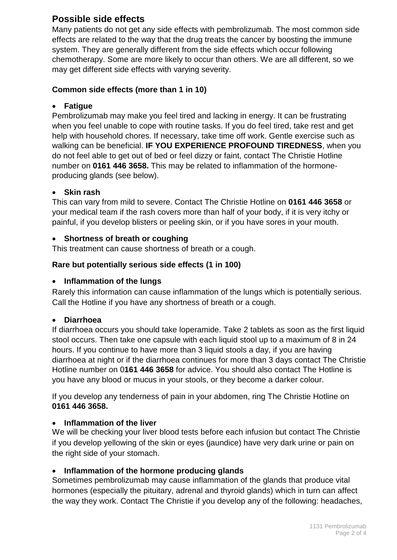# **Possible side effects**

Many patients do not get any side effects with pembrolizumab. The most common side effects are related to the way that the drug treats the cancer by boosting the immune system. They are generally different from the side effects which occur following chemotherapy. Some are more likely to occur than others. We are all different, so we may get different side effects with varying severity.

#### **Common side effects (more than 1 in 10)**

## • **Fatigue**

Pembrolizumab may make you feel tired and lacking in energy. It can be frustrating when you feel unable to cope with routine tasks. If you do feel tired, take rest and get help with household chores. If necessary, take time off work. Gentle exercise such as walking can be beneficial. **IF YOU EXPERIENCE PROFOUND TIREDNESS**, when you do not feel able to get out of bed or feel dizzy or faint, contact The Christie Hotline number on **0161 446 3658.** This may be related to inflammation of the hormoneproducing glands (see below).

## • **Skin rash**

This can vary from mild to severe. Contact The Christie Hotline on **0161 446 3658** or your medical team if the rash covers more than half of your body, if it is very itchy or painful, if you develop blisters or peeling skin, or if you have sores in your mouth.

## • **Shortness of breath or coughing**

This treatment can cause shortness of breath or a cough.

## **Rare but potentially serious side effects (1 in 100)**

#### • **Inflammation of the lungs**

Rarely this information can cause inflammation of the lungs which is potentially serious. Call the Hotline if you have any shortness of breath or a cough.

#### • **Diarrhoea**

If diarrhoea occurs you should take loperamide. Take 2 tablets as soon as the first liquid stool occurs. Then take one capsule with each liquid stool up to a maximum of 8 in 24 hours. If you continue to have more than 3 liquid stools a day, if you are having diarrhoea at night or if the diarrhoea continues for more than 3 days contact The Christie Hotline number on 0**161 446 3658** for advice. You should also contact The Hotline is you have any blood or mucus in your stools, or they become a darker colour.

If you develop any tenderness of pain in your abdomen, ring The Christie Hotline on **0161 446 3658.**

#### • **Inflammation of the liver**

We will be checking your liver blood tests before each infusion but contact The Christie if you develop yellowing of the skin or eyes (jaundice) have very dark urine or pain on the right side of your stomach.

#### • **Inflammation of the hormone producing glands**

Sometimes pembrolizumab may cause inflammation of the glands that produce vital hormones (especially the pituitary, adrenal and thyroid glands) which in turn can affect the way they work. Contact The Christie if you develop any of the following: headaches,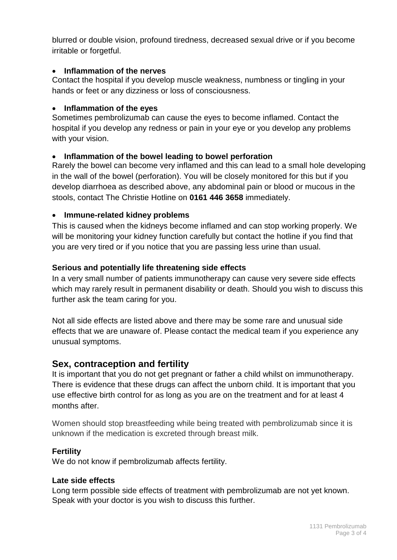blurred or double vision, profound tiredness, decreased sexual drive or if you become irritable or forgetful.

#### • **Inflammation of the nerves**

Contact the hospital if you develop muscle weakness, numbness or tingling in your hands or feet or any dizziness or loss of consciousness.

#### • **Inflammation of the eyes**

Sometimes pembrolizumab can cause the eyes to become inflamed. Contact the hospital if you develop any redness or pain in your eye or you develop any problems with your vision.

#### • **Inflammation of the bowel leading to bowel perforation**

Rarely the bowel can become very inflamed and this can lead to a small hole developing in the wall of the bowel (perforation). You will be closely monitored for this but if you develop diarrhoea as described above, any abdominal pain or blood or mucous in the stools, contact The Christie Hotline on **0161 446 3658** immediately.

#### • **Immune-related kidney problems**

This is caused when the kidneys become inflamed and can stop working properly. We will be monitoring your kidney function carefully but contact the hotline if you find that you are very tired or if you notice that you are passing less urine than usual.

#### **Serious and potentially life threatening side effects**

In a very small number of patients immunotherapy can cause very severe side effects which may rarely result in permanent disability or death. Should you wish to discuss this further ask the team caring for you.

Not all side effects are listed above and there may be some rare and unusual side effects that we are unaware of. Please contact the medical team if you experience any unusual symptoms.

# **Sex, contraception and fertility**

It is important that you do not get pregnant or father a child whilst on immunotherapy. There is evidence that these drugs can affect the unborn child. It is important that you use effective birth control for as long as you are on the treatment and for at least 4 months after.

Women should stop breastfeeding while being treated with pembrolizumab since it is unknown if the medication is excreted through breast milk.

#### **Fertility**

We do not know if pembrolizumab affects fertility.

#### **Late side effects**

Long term possible side effects of treatment with pembrolizumab are not yet known. Speak with your doctor is you wish to discuss this further.